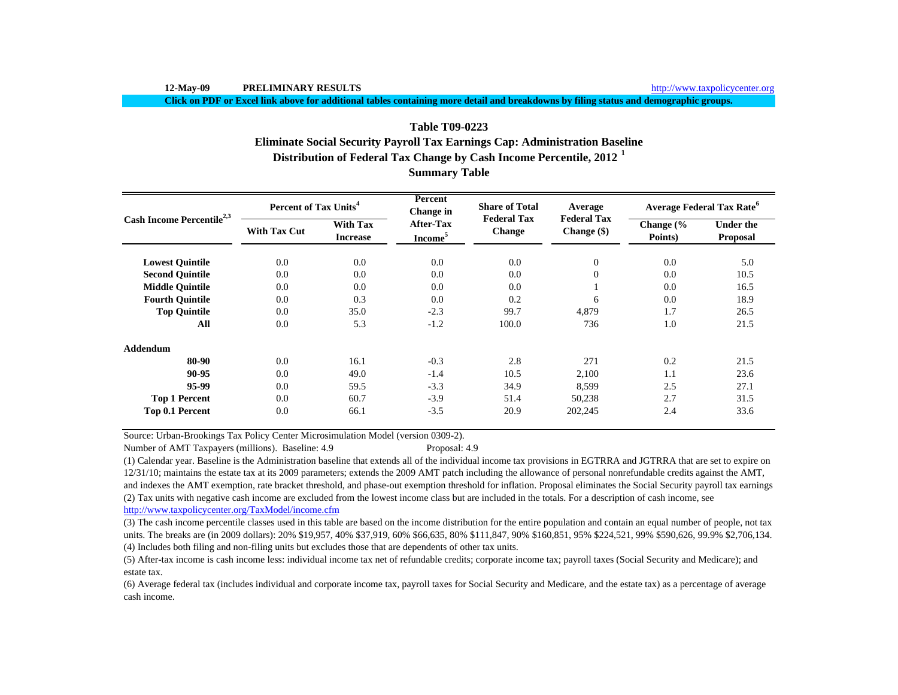**Click on PDF or Excel link above for additional tables containing more detail and breakdowns by filing status and demographic groups.**

# **Distribution of Federal Tax Change by Cash Income Percentile, 2012 <sup>1</sup> Summary Table Table T09-0223Eliminate Social Security Payroll Tax Earnings Cap: Administration Baseline**

| Cash Income Percentile <sup>2,3</sup> | Percent of Tax Units <sup>4</sup> |                                    | Percent<br>Change in                    | <b>Share of Total</b>               | Average                           | <b>Average Federal Tax Rate<sup>6</sup></b> |                              |  |
|---------------------------------------|-----------------------------------|------------------------------------|-----------------------------------------|-------------------------------------|-----------------------------------|---------------------------------------------|------------------------------|--|
|                                       | <b>With Tax Cut</b>               | <b>With Tax</b><br><b>Increase</b> | <b>After-Tax</b><br>Income <sup>5</sup> | <b>Federal Tax</b><br><b>Change</b> | <b>Federal Tax</b><br>Change (\$) | Change $\frac{6}{6}$<br>Points)             | <b>Under the</b><br>Proposal |  |
| <b>Lowest Quintile</b>                | 0.0                               | 0.0                                | 0.0                                     | 0.0                                 | $\theta$                          | 0.0                                         | 5.0                          |  |
| <b>Second Ouintile</b>                | 0.0                               | 0.0                                | 0.0                                     | 0.0                                 | $\theta$                          | 0.0                                         | 10.5                         |  |
| <b>Middle Ouintile</b>                | 0.0                               | 0.0                                | 0.0                                     | 0.0                                 |                                   | 0.0                                         | 16.5                         |  |
| <b>Fourth Quintile</b>                | 0.0                               | 0.3                                | 0.0                                     | 0.2                                 | 6                                 | 0.0                                         | 18.9                         |  |
| <b>Top Quintile</b>                   | 0.0                               | 35.0                               | $-2.3$                                  | 99.7                                | 4,879                             | 1.7                                         | 26.5                         |  |
| All                                   | 0.0                               | 5.3                                | $-1.2$                                  | 100.0                               | 736                               | 1.0                                         | 21.5                         |  |
| <b>Addendum</b>                       |                                   |                                    |                                         |                                     |                                   |                                             |                              |  |
| 80-90                                 | 0.0                               | 16.1                               | $-0.3$                                  | 2.8                                 | 271                               | 0.2                                         | 21.5                         |  |
| 90-95                                 | 0.0                               | 49.0                               | $-1.4$                                  | 10.5                                | 2,100                             | 1.1                                         | 23.6                         |  |
| 95-99                                 | 0.0                               | 59.5                               | $-3.3$                                  | 34.9                                | 8,599                             | 2.5                                         | 27.1                         |  |
| <b>Top 1 Percent</b>                  | 0.0                               | 60.7                               | $-3.9$                                  | 51.4                                | 50,238                            | 2.7                                         | 31.5                         |  |
| Top 0.1 Percent                       | 0.0                               | 66.1                               | $-3.5$                                  | 20.9                                | 202,245                           | 2.4                                         | 33.6                         |  |

Source: Urban-Brookings Tax Policy Center Microsimulation Model (version 0309-2).

Number of AMT Taxpayers (millions). Baseline: 4.9 Proposal: 4.9

(2) Tax units with negative cash income are excluded from the lowest income class but are included in the totals. For a description of cash income, see http://www.taxpolicycenter.org/TaxModel/income.cfm (1) Calendar year. Baseline is the Administration baseline that extends all of the individual income tax provisions in EGTRRA and JGTRRA that are set to expire on 12/31/10; maintains the estate tax at its 2009 parameters; extends the 2009 AMT patch including the allowance of personal nonrefundable credits against the AMT, and indexes the AMT exemption, rate bracket threshold, and phase-out exemption threshold for inflation. Proposal eliminates the Social Security payroll tax earnings

(4) Includes both filing and non-filing units but excludes those that are dependents of other tax units. (3) The cash income percentile classes used in this table are based on the income distribution for the entire population and contain an equal number of people, not tax units. The breaks are (in 2009 dollars): 20% \$19,957, 40% \$37,919, 60% \$66,635, 80% \$111,847, 90% \$160,851, 95% \$224,521, 99% \$590,626, 99.9% \$2,706,134.

(5) After-tax income is cash income less: individual income tax net of refundable credits; corporate income tax; payroll taxes (Social Security and Medicare); and estate tax.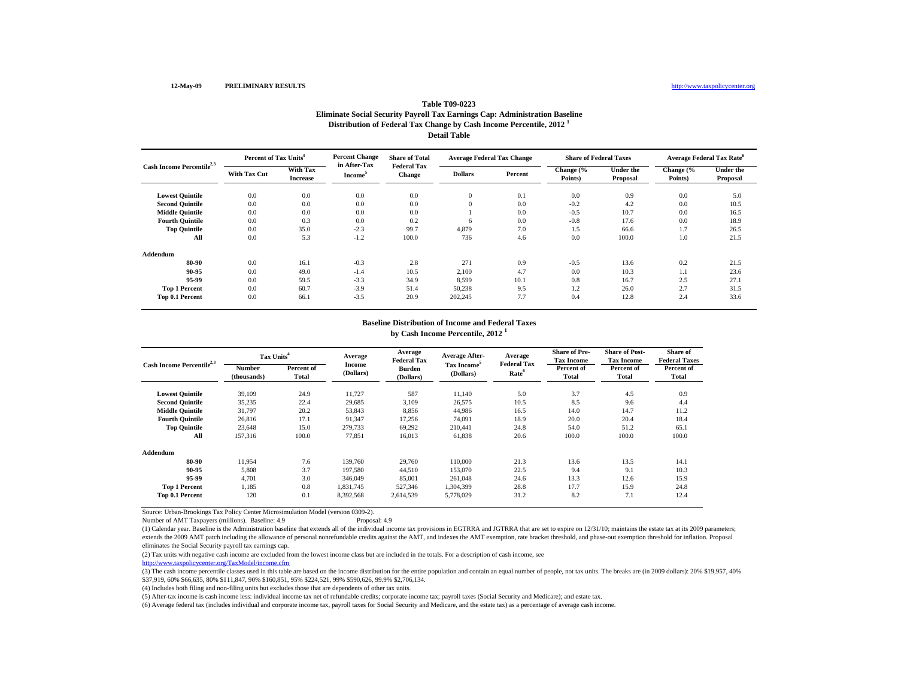#### **Percent of Tax Units<sup>4</sup> in After-Tax Share of Total Federal Tax Average Federal Tax Change Share of Federal Taxes Average Federal Tax Rate<sup>6</sup> Distribution of Federal Tax Change by Cash Income Percentile, 2012 <sup>1</sup> Detail TableTable T09-0223Eliminate Social Security Payroll Tax Earnings Cap: Administration Baseline**

|                                                              |                                    |                     | in After-Tax                        |                |          |                      |                              |                      |                       |      |
|--------------------------------------------------------------|------------------------------------|---------------------|-------------------------------------|----------------|----------|----------------------|------------------------------|----------------------|-----------------------|------|
| Cash Income Percentile <sup>2,3</sup><br><b>With Tax Cut</b> | <b>With Tax</b><br><b>Increase</b> | Income <sup>5</sup> | <b>Federal Tax</b><br><b>Change</b> | <b>Dollars</b> | Percent  | Change (%<br>Points) | <b>Under the</b><br>Proposal | Change (%<br>Points) | Under the<br>Proposal |      |
| <b>Lowest Quintile</b>                                       | 0.0                                | 0.0                 | 0.0                                 | 0.0            | 0        | 0.1                  | 0.0                          | 0.9                  | 0.0                   | 5.0  |
| <b>Second Quintile</b>                                       | 0.0                                | 0.0                 | 0.0                                 | 0.0            | $\theta$ | 0.0                  | $-0.2$                       | 4.2                  | 0.0                   | 10.5 |
| <b>Middle Quintile</b>                                       | 0.0                                | 0.0                 | 0.0                                 | 0.0            |          | 0.0                  | $-0.5$                       | 10.7                 | 0.0                   | 16.5 |
| <b>Fourth Quintile</b>                                       | 0.0                                | 0.3                 | 0.0                                 | 0.2            | 6        | 0.0                  | $-0.8$                       | 17.6                 | 0.0                   | 18.9 |
| <b>Top Quintile</b>                                          | 0.0                                | 35.0                | $-2.3$                              | 99.7           | 4,879    | 7.0                  | 1.5                          | 66.6                 | 1.7                   | 26.5 |
| All                                                          | 0.0                                | 5.3                 | $-1.2$                              | 100.0          | 736      | 4.6                  | 0.0                          | 100.0                | 1.0                   | 21.5 |
| Addendum                                                     |                                    |                     |                                     |                |          |                      |                              |                      |                       |      |
| 80-90                                                        | 0.0                                | 16.1                | $-0.3$                              | 2.8            | 271      | 0.9                  | $-0.5$                       | 13.6                 | 0.2                   | 21.5 |
| 90-95                                                        | 0.0                                | 49.0                | $-1.4$                              | 10.5           | 2,100    | 4.7                  | 0.0                          | 10.3                 | 1.1                   | 23.6 |
| 95-99                                                        | 0.0                                | 59.5                | $-3.3$                              | 34.9           | 8,599    | 10.1                 | 0.8                          | 16.7                 | 2.5                   | 27.1 |
| <b>Top 1 Percent</b>                                         | 0.0                                | 60.7                | $-3.9$                              | 51.4           | 50,238   | 9.5                  | 1.2                          | 26.0                 | 2.7                   | 31.5 |
| Top 0.1 Percent                                              | 0.0                                | 66.1                | $-3.5$                              | 20.9           | 202,245  | 7.7                  | 0.4                          | 12.8                 | 2.4                   | 33.6 |
|                                                              |                                    |                     |                                     |                |          |                      |                              |                      |                       |      |

#### **Baseline Distribution of Income and Federal Taxes by Cash Income Percentile, 2012 <sup>1</sup>**

| Cash Income Percentile <sup>2,3</sup> |                       | Tax Units <sup>4</sup>     |                            | Average<br><b>Federal Tax</b> | <b>Average After-</b>                | Average<br><b>Federal Tax</b> | <b>Share of Pre-</b><br>Tax Income | <b>Share of Post-</b><br><b>Tax Income</b> | Share of<br><b>Federal Taxes</b> |
|---------------------------------------|-----------------------|----------------------------|----------------------------|-------------------------------|--------------------------------------|-------------------------------|------------------------------------|--------------------------------------------|----------------------------------|
|                                       | Number<br>(thousands) | Percent of<br><b>Total</b> | <b>Income</b><br>(Dollars) | <b>Burden</b><br>(Dollars)    | Tax Income <sup>5</sup><br>(Dollars) | Rate <sup>6</sup>             | Percent of<br><b>Total</b>         | Percent of<br>Total                        | Percent of<br>Total              |
| <b>Lowest Quintile</b>                | 39,109                | 24.9                       | 11,727                     | 587                           | 11,140                               | 5.0                           | 3.7                                | 4.5                                        | 0.9                              |
| <b>Second Ouintile</b>                | 35,235                | 22.4                       | 29,685                     | 3,109                         | 26,575                               | 10.5                          | 8.5                                | 9.6                                        | 4.4                              |
| <b>Middle Quintile</b>                | 31,797                | 20.2                       | 53,843                     | 8,856                         | 44,986                               | 16.5                          | 14.0                               | 14.7                                       | 11.2                             |
| <b>Fourth Quintile</b>                | 26.816                | 17.1                       | 91,347                     | 17,256                        | 74.091                               | 18.9                          | 20.0                               | 20.4                                       | 18.4                             |
| <b>Top Quintile</b>                   | 23,648                | 15.0                       | 279,733                    | 69,292                        | 210.441                              | 24.8                          | 54.0                               | 51.2                                       | 65.1                             |
| All                                   | 157,316               | 100.0                      | 77,851                     | 16,013                        | 61,838                               | 20.6                          | 100.0                              | 100.0                                      | 100.0                            |
| Addendum                              |                       |                            |                            |                               |                                      |                               |                                    |                                            |                                  |
| 80-90                                 | 11.954                | 7.6                        | 139,760                    | 29.760                        | 110,000                              | 21.3                          | 13.6                               | 13.5                                       | 14.1                             |
| 90-95                                 | 5,808                 | 3.7                        | 197,580                    | 44,510                        | 153,070                              | 22.5                          | 9.4                                | 9.1                                        | 10.3                             |
| 95-99                                 | 4.701                 | 3.0                        | 346,049                    | 85,001                        | 261.048                              | 24.6                          | 13.3                               | 12.6                                       | 15.9                             |
| <b>Top 1 Percent</b>                  | 1,185                 | 0.8                        | 1,831,745                  | 527,346                       | 1,304,399                            | 28.8                          | 17.7                               | 15.9                                       | 24.8                             |
| Top 0.1 Percent                       | 120                   | 0.1                        | 8,392,568                  | 2,614,539                     | 5,778,029                            | 31.2                          | 8.2                                | 7.1                                        | 12.4                             |

Source: Urban-Brookings Tax Policy Center Microsimulation Model (version 0309-2).

Number of AMT Taxpayers (millions). Baseline: 4.9

(1) Calendar year. Baseline is the Administration baseline that extends all of the individual income tax provisions in EGTRRA and JGTRRA that are set to expire on 12/31/10; maintains the estate tax at its 2009 parameters; extends the 2009 AMT patch including the allowance of personal nonrefundable credits against the AMT, and indexes the AMT exemption, rate bracket threshold, and phase-out exemption threshold for inflation. Proposal eliminates the Social Security payroll tax earnings cap.

(2) Tax units with negative cash income are excluded from the lowest income class but are included in the totals. For a description of cash income, see

http://www.taxpolicycenter.org/TaxModel/income.cfm

(3) The cash income percentile classes used in this table are based on the income distribution for the entire population and contain an equal number of people, not tax units. The breaks are (in 2009 dollars): 20% \$19,957, \$37,919, 60% \$66,635, 80% \$111,847, 90% \$160,851, 95% \$224,521, 99% \$590,626, 99.9% \$2,706,134.

(4) Includes both filing and non-filing units but excludes those that are dependents of other tax units.

(5) After-tax income is cash income less: individual income tax net of refundable credits; corporate income tax; payroll taxes (Social Security and Medicare); and estate tax.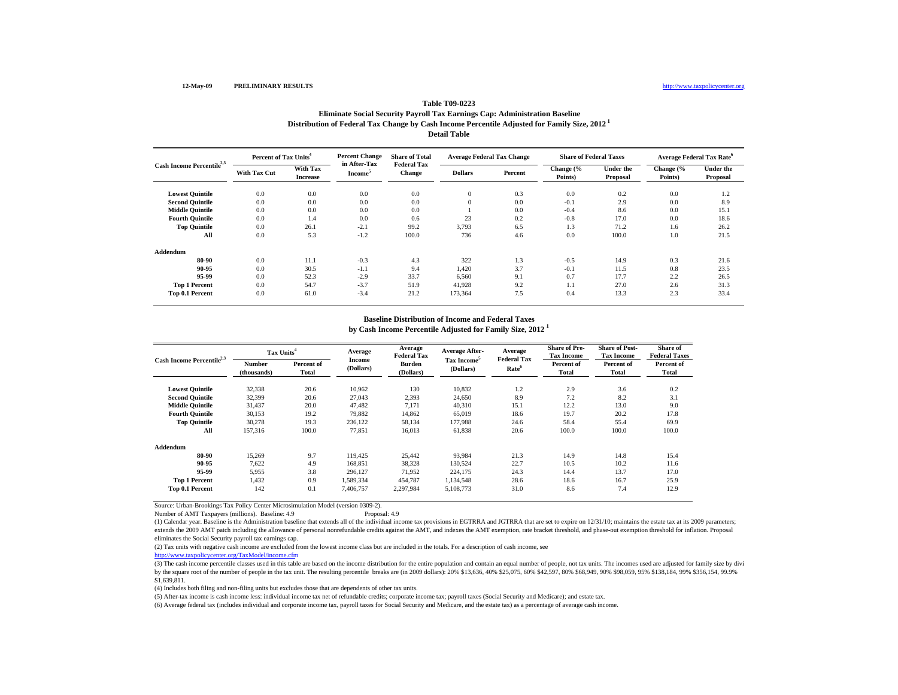### **Distribution of Federal Tax Change by Cash Income Percentile Adjusted for Family Size, 2012 1 Detail TableTable T09-0223Eliminate Social Security Payroll Tax Earnings Cap: Administration Baseline**

| Cash Income Percentile <sup>2,3</sup> | Percent of Tax Units <sup>4</sup> |                             | <b>Percent Change</b>                      | <b>Share of Total</b>               | <b>Average Federal Tax Change</b> |         | <b>Share of Federal Taxes</b> |                       | <b>Average Federal Tax Rate</b> <sup>o</sup> |                              |
|---------------------------------------|-----------------------------------|-----------------------------|--------------------------------------------|-------------------------------------|-----------------------------------|---------|-------------------------------|-----------------------|----------------------------------------------|------------------------------|
|                                       | <b>With Tax Cut</b>               | With Tax<br><b>Increase</b> | in After-Tax<br><b>Income</b> <sup>5</sup> | <b>Federal Tax</b><br><b>Change</b> | <b>Dollars</b>                    | Percent | Change (%<br>Points)          | Under the<br>Proposal | Change (%<br>Points)                         | <b>Under the</b><br>Proposal |
| <b>Lowest Quintile</b>                | 0.0                               | 0.0                         | 0.0                                        | 0.0                                 | $\mathbf{0}$                      | 0.3     | 0.0                           | 0.2                   | 0.0                                          | 1.2                          |
| <b>Second Quintile</b>                | 0.0                               | 0.0                         | 0.0                                        | 0.0                                 | $\overline{0}$                    | 0.0     | $-0.1$                        | 2.9                   | 0.0                                          | 8.9                          |
| <b>Middle Quintile</b>                | 0.0                               | 0.0                         | 0.0                                        | 0.0                                 |                                   | 0.0     | $-0.4$                        | 8.6                   | 0.0                                          | 15.1                         |
| <b>Fourth Quintile</b>                | 0.0                               | 1.4                         | 0.0                                        | 0.6                                 | 23                                | 0.2     | $-0.8$                        | 17.0                  | 0.0                                          | 18.6                         |
| <b>Top Quintile</b>                   | 0.0                               | 26.1                        | $-2.1$                                     | 99.2                                | 3,793                             | 6.5     | 1.3                           | 71.2                  | 1.6                                          | 26.2                         |
| All                                   | 0.0                               | 5.3                         | $-1.2$                                     | 100.0                               | 736                               | 4.6     | 0.0                           | 100.0                 | 1.0                                          | 21.5                         |
| Addendum                              |                                   |                             |                                            |                                     |                                   |         |                               |                       |                                              |                              |
| 80-90                                 | 0.0                               | 11.1                        | $-0.3$                                     | 4.3                                 | 322                               | 1.3     | $-0.5$                        | 14.9                  | 0.3                                          | 21.6                         |
| 90-95                                 | 0.0                               | 30.5                        | $-1.1$                                     | 9.4                                 | 1,420                             | 3.7     | $-0.1$                        | 11.5                  | 0.8                                          | 23.5                         |
| 95-99                                 | 0.0                               | 52.3                        | $-2.9$                                     | 33.7                                | 6,560                             | 9.1     | 0.7                           | 17.7                  | 2.2                                          | 26.5                         |
| <b>Top 1 Percent</b>                  | 0.0                               | 54.7                        | $-3.7$                                     | 51.9                                | 41,928                            | 9.2     | 1.1                           | 27.0                  | 2.6                                          | 31.3                         |
| Top 0.1 Percent                       | 0.0                               | 61.0                        | $-3.4$                                     | 21.2                                | 173,364                           | 7.5     | 0.4                           | 13.3                  | 2.3                                          | 33.4                         |

# **Baseline Distribution of Income and Federal Taxes**

**by Cash Income Percentile Adjusted for Family Size, 2012 <sup>1</sup>**

| Cash Income Percentile <sup>2,3</sup> |                       | Tax Units <sup>4</sup> |                            | Average<br><b>Federal Tax</b> | Average After-                       | Average<br><b>Federal Tax</b> | <b>Share of Pre-</b><br><b>Tax Income</b> | <b>Share of Post-</b><br><b>Tax Income</b> | Share of<br><b>Federal Taxes</b> |
|---------------------------------------|-----------------------|------------------------|----------------------------|-------------------------------|--------------------------------------|-------------------------------|-------------------------------------------|--------------------------------------------|----------------------------------|
|                                       | Number<br>(thousands) | Percent of<br>Total    | <b>Income</b><br>(Dollars) | Burden<br>(Dollars)           | Tax Income <sup>5</sup><br>(Dollars) | Rate <sup>6</sup>             | Percent of<br><b>Total</b>                | Percent of<br>Total                        | Percent of<br>Total              |
| <b>Lowest Quintile</b>                | 32,338                | 20.6                   | 10,962                     | 130                           | 10,832                               | 1.2                           | 2.9                                       | 3.6                                        | 0.2                              |
| <b>Second Quintile</b>                | 32,399                | 20.6                   | 27,043                     | 2,393                         | 24,650                               | 8.9                           | 7.2                                       | 8.2                                        | 3.1                              |
| <b>Middle Ouintile</b>                | 31.437                | 20.0                   | 47.482                     | 7.171                         | 40,310                               | 15.1                          | 12.2                                      | 13.0                                       | 9.0                              |
| <b>Fourth Ouintile</b>                | 30,153                | 19.2                   | 79,882                     | 14,862                        | 65,019                               | 18.6                          | 19.7                                      | 20.2                                       | 17.8                             |
| <b>Top Quintile</b>                   | 30,278                | 19.3                   | 236,122                    | 58,134                        | 177,988                              | 24.6                          | 58.4                                      | 55.4                                       | 69.9                             |
| All                                   | 157,316               | 100.0                  | 77,851                     | 16,013                        | 61,838                               | 20.6                          | 100.0                                     | 100.0                                      | 100.0                            |
| Addendum                              |                       |                        |                            |                               |                                      |                               |                                           |                                            |                                  |
| 80-90                                 | 15,269                | 9.7                    | 119.425                    | 25,442                        | 93,984                               | 21.3                          | 14.9                                      | 14.8                                       | 15.4                             |
| 90-95                                 | 7,622                 | 4.9                    | 168,851                    | 38,328                        | 130,524                              | 22.7                          | 10.5                                      | 10.2                                       | 11.6                             |
| 95-99                                 | 5.955                 | 3.8                    | 296.127                    | 71.952                        | 224.175                              | 24.3                          | 14.4                                      | 13.7                                       | 17.0                             |
| <b>Top 1 Percent</b>                  | 1,432                 | 0.9                    | 1,589,334                  | 454,787                       | 1,134,548                            | 28.6                          | 18.6                                      | 16.7                                       | 25.9                             |
| Top 0.1 Percent                       | 142                   | 0.1                    | 7.406.757                  | 2,297,984                     | 5,108,773                            | 31.0                          | 8.6                                       | 7.4                                        | 12.9                             |

Source: Urban-Brookings Tax Policy Center Microsimulation Model (version 0309-2).

Number of AMT Taxpayers (millions). Baseline: 4.9

(1) Calendar year. Baseline is the Administration baseline that extends all of the individual income tax provisions in EGTRRA and JGTRRA that are set to expire on 12/31/10; maintains the estate tax at its 2009 parameters; extends the 2009 AMT patch including the allowance of personal nonrefundable credits against the AMT, and indexes the AMT exemption, rate bracket threshold, and phase-out exemption threshold for inflation. Proposal eliminates the Social Security payroll tax earnings cap.

(2) Tax units with negative cash income are excluded from the lowest income class but are included in the totals. For a description of cash income, see

http://www.taxpolicycenter.org/TaxModel/income.cfm

(3) The cash income percentile classes used in this table are based on the income distribution for the entire population and contain an equal number of people, not tax units. The incomes used are adjusted for family size b by the square root of the number of people in the tax unit. The resulting percentile breaks are (in 2009 dollars): 20% \$13,636, 40% \$25,075, 60% \$42,597, 80% \$68,949, 90% \$98,059, 95% \$138,184, 99% \$356,154, 99.9% \$1,639,811.

(4) Includes both filing and non-filing units but excludes those that are dependents of other tax units.

(5) After-tax income is cash income less: individual income tax net of refundable credits; corporate income tax; payroll taxes (Social Security and Medicare); and estate tax.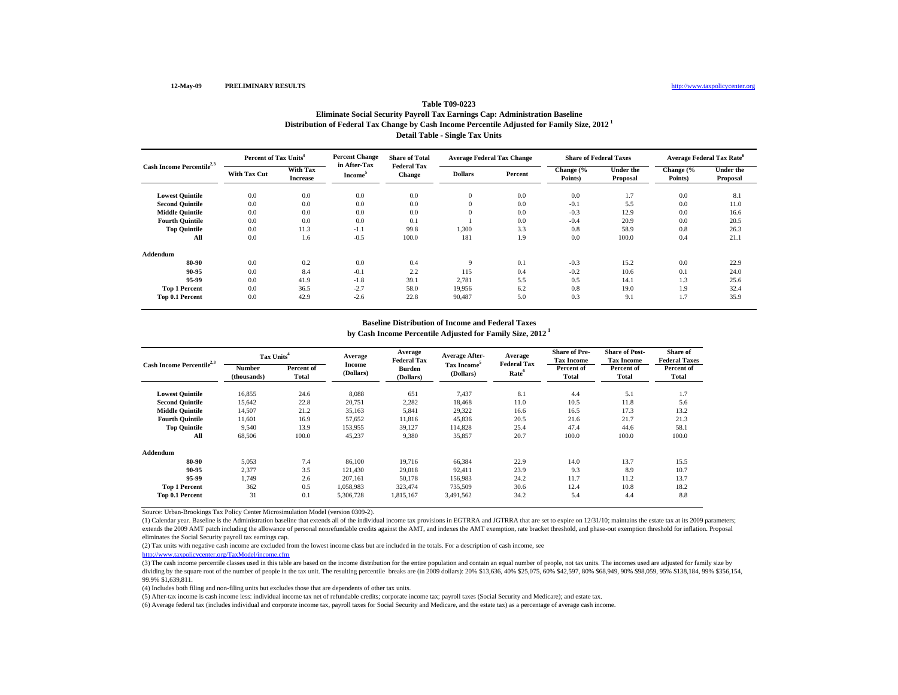## **Distribution of Federal Tax Change by Cash Income Percentile Adjusted for Family Size, 2012 1 Detail Table - Single Tax Units Table T09-0223Eliminate Social Security Payroll Tax Earnings Cap: Administration Baseline**

|                                       | Percent of Tax Units <sup>4</sup> |                                    | <b>Percent Change</b><br>in After-Tax | <b>Share of Total</b>        | <b>Average Federal Tax Change</b> |         | <b>Share of Federal Taxes</b> |                       | <b>Average Federal Tax Rate<sup>6</sup></b> |                              |  |
|---------------------------------------|-----------------------------------|------------------------------------|---------------------------------------|------------------------------|-----------------------------------|---------|-------------------------------|-----------------------|---------------------------------------------|------------------------------|--|
| Cash Income Percentile <sup>2,3</sup> | <b>With Tax Cut</b>               | <b>With Tax</b><br><b>Increase</b> | Income <sup>3</sup>                   | <b>Federal Tax</b><br>Change | <b>Dollars</b>                    | Percent | Change (%<br>Points)          | Under the<br>Proposal | Change (%<br>Points)                        | <b>Under the</b><br>Proposal |  |
| <b>Lowest Quintile</b>                | 0.0                               | 0.0                                | 0.0                                   | 0.0                          | $\mathbf{0}$                      | 0.0     | 0.0                           | 1.7                   | 0.0                                         | 8.1                          |  |
| <b>Second Quintile</b>                | 0.0                               | 0.0                                | 0.0                                   | 0.0                          | $\mathbf{0}$                      | 0.0     | $-0.1$                        | 5.5                   | 0.0                                         | 11.0                         |  |
| <b>Middle Quintile</b>                | 0.0                               | 0.0                                | 0.0                                   | 0.0                          | $\Omega$                          | 0.0     | $-0.3$                        | 12.9                  | 0.0                                         | 16.6                         |  |
| <b>Fourth Quintile</b>                | 0.0                               | 0.0                                | 0.0                                   | 0.1                          |                                   | 0.0     | $-0.4$                        | 20.9                  | 0.0                                         | 20.5                         |  |
| <b>Top Quintile</b>                   | 0.0                               | 11.3                               | $-1.1$                                | 99.8                         | 1,300                             | 3.3     | 0.8                           | 58.9                  | 0.8                                         | 26.3                         |  |
| All                                   | 0.0                               | 1.6                                | $-0.5$                                | 100.0                        | 181                               | 1.9     | 0.0                           | 100.0                 | 0.4                                         | 21.1                         |  |
| Addendum                              |                                   |                                    |                                       |                              |                                   |         |                               |                       |                                             |                              |  |
| 80-90                                 | 0.0                               | 0.2                                | 0.0                                   | 0.4                          | 9                                 | 0.1     | $-0.3$                        | 15.2                  | 0.0                                         | 22.9                         |  |
| 90-95                                 | 0.0                               | 8.4                                | $-0.1$                                | 2.2                          | 115                               | 0.4     | $-0.2$                        | 10.6                  | 0.1                                         | 24.0                         |  |
| 95-99                                 | 0.0                               | 41.9                               | $-1.8$                                | 39.1                         | 2,781                             | 5.5     | 0.5                           | 14.1                  | 1.3                                         | 25.6                         |  |
| <b>Top 1 Percent</b>                  | 0.0                               | 36.5                               | $-2.7$                                | 58.0                         | 19,956                            | 6.2     | 0.8                           | 19.0                  | 1.9                                         | 32.4                         |  |
| Top 0.1 Percent                       | 0.0                               | 42.9                               | $-2.6$                                | 22.8                         | 90,487                            | 5.0     | 0.3                           | 9.1                   | 1.7                                         | 35.9                         |  |

# **Baseline Distribution of Income and Federal Taxes**

**by Cash Income Percentile Adjusted for Family Size, 2012 1**

| Cash Income Percentile <sup>2,3</sup> | Tax Units <sup>4</sup>       |                     | Average             | Average<br><b>Federal Tax</b> | <b>Average After-</b>                | Average<br><b>Federal Tax</b> | <b>Share of Pre-</b><br><b>Tax Income</b> | <b>Share of Post-</b><br><b>Tax Income</b> | Share of<br><b>Federal Taxes</b> |
|---------------------------------------|------------------------------|---------------------|---------------------|-------------------------------|--------------------------------------|-------------------------------|-------------------------------------------|--------------------------------------------|----------------------------------|
|                                       | <b>Number</b><br>(thousands) | Percent of<br>Total | Income<br>(Dollars) | <b>Burden</b><br>(Dollars)    | Tax Income <sup>5</sup><br>(Dollars) | Rate <sup>6</sup>             | Percent of<br>Total                       | Percent of<br>Total                        | Percent of<br>Total              |
| <b>Lowest Quintile</b>                | 16.855                       | 24.6                | 8.088               | 651                           | 7.437                                | 8.1                           | 4.4                                       | 5.1                                        | 1.7                              |
| <b>Second Quintile</b>                | 15,642                       | 22.8                | 20,751              | 2,282                         | 18.468                               | 11.0                          | 10.5                                      | 11.8                                       | 5.6                              |
| <b>Middle Quintile</b>                | 14,507                       | 21.2                | 35,163              | 5,841                         | 29,322                               | 16.6                          | 16.5                                      | 17.3                                       | 13.2                             |
| <b>Fourth Quintile</b>                | 11.601                       | 16.9                | 57.652              | 11.816                        | 45.836                               | 20.5                          | 21.6                                      | 21.7                                       | 21.3                             |
| <b>Top Quintile</b>                   | 9.540                        | 13.9                | 153.955             | 39.127                        | 114.828                              | 25.4                          | 47.4                                      | 44.6                                       | 58.1                             |
| All                                   | 68,506                       | 100.0               | 45,237              | 9,380                         | 35,857                               | 20.7                          | 100.0                                     | 100.0                                      | 100.0                            |
| Addendum                              |                              |                     |                     |                               |                                      |                               |                                           |                                            |                                  |
| 80-90                                 | 5.053                        | 7.4                 | 86,100              | 19,716                        | 66,384                               | 22.9                          | 14.0                                      | 13.7                                       | 15.5                             |
| 90-95                                 | 2,377                        | 3.5                 | 121,430             | 29,018                        | 92,411                               | 23.9                          | 9.3                                       | 8.9                                        | 10.7                             |
| 95-99                                 | 1.749                        | 2.6                 | 207.161             | 50,178                        | 156.983                              | 24.2                          | 11.7                                      | 11.2                                       | 13.7                             |
| <b>Top 1 Percent</b>                  | 362                          | 0.5                 | 1,058,983           | 323,474                       | 735,509                              | 30.6                          | 12.4                                      | 10.8                                       | 18.2                             |
| Top 0.1 Percent                       | 31                           | 0.1                 | 5,306,728           | 1,815,167                     | 3,491,562                            | 34.2                          | 5.4                                       | 4.4                                        | 8.8                              |

Source: Urban-Brookings Tax Policy Center Microsimulation Model (version 0309-2).

(1) Calendar year. Baseline is the Administration baseline that extends all of the individual income tax provisions in EGTRRA and JGTRRA that are set to expire on 12/31/10; maintains the estate tax at its 2009 parameters; extends the 2009 AMT patch including the allowance of personal nonrefundable credits against the AMT, and indexes the AMT exemption, rate bracket threshold, and phase-out exemption threshold for inflation. Proposal eliminates the Social Security payroll tax earnings cap.

(2) Tax units with negative cash income are excluded from the lowest income class but are included in the totals. For a description of cash income, see

http://www.taxpolicycenter.org/TaxModel/income.cfm

(3) The cash income percentile classes used in this table are based on the income distribution for the entire population and contain an equal number of people, not tax units. The incomes used are adjusted for family size b dividing by the square root of the number of people in the tax unit. The resulting percentile breaks are (in 2009 dollars): 20% \$13,636, 40% \$25,075, 60% \$42,597, 80% \$68,949, 90% \$98,059, 95% \$138,184, 99% \$356,154, 99.9% \$1,639,811.

(4) Includes both filing and non-filing units but excludes those that are dependents of other tax units.

(5) After-tax income is cash income less: individual income tax net of refundable credits; corporate income tax; payroll taxes (Social Security and Medicare); and estate tax.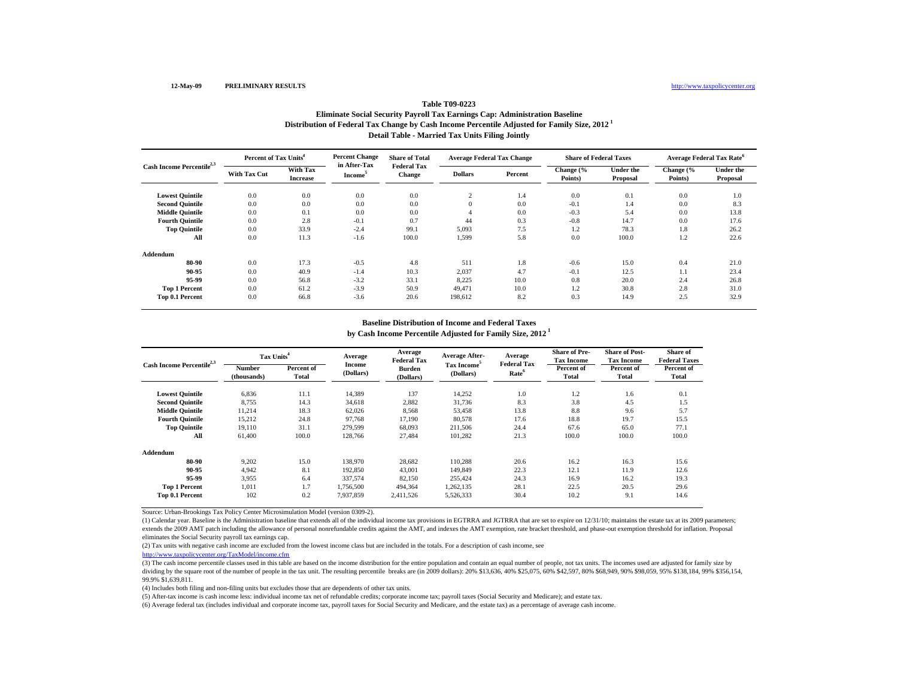# **Table T09-0223Eliminate Social Security Payroll Tax Earnings Cap: Administration Baseline**

**Distribution of Federal Tax Change by Cash Income Percentile Adjusted for Family Size, 2012 1**

**Detail Table - Married Tax Units Filing Jointly**

| Cash Income Percentile <sup>2,3</sup> |                     | Percent of Tax Units <sup>4</sup>  |                                     | <b>Share of Total</b>        | <b>Average Federal Tax Change</b> |         | <b>Share of Federal Taxes</b> |                              |                      | Average Federal Tax Rate <sup>6</sup> |
|---------------------------------------|---------------------|------------------------------------|-------------------------------------|------------------------------|-----------------------------------|---------|-------------------------------|------------------------------|----------------------|---------------------------------------|
|                                       | <b>With Tax Cut</b> | <b>With Tax</b><br><b>Increase</b> | in After-Tax<br>Income <sup>3</sup> | <b>Federal Tax</b><br>Change | <b>Dollars</b>                    | Percent | Change (%<br>Points)          | <b>Under the</b><br>Proposal | Change (%<br>Points) | <b>Under the</b><br>Proposal          |
| <b>Lowest Quintile</b>                | 0.0                 | 0.0                                | 0.0                                 | 0.0                          | $\sim$                            | 1.4     | 0.0                           | 0.1                          | 0.0                  | 1.0                                   |
| <b>Second Quintile</b>                | 0.0                 | 0.0                                | 0.0                                 | 0.0                          | $\theta$                          | 0.0     | $-0.1$                        | 1.4                          | 0.0                  | 8.3                                   |
| <b>Middle Quintile</b>                | 0.0                 | 0.1                                | 0.0                                 | 0.0                          |                                   | 0.0     | $-0.3$                        | 5.4                          | 0.0                  | 13.8                                  |
| <b>Fourth Quintile</b>                | 0.0                 | 2.8                                | $-0.1$                              | 0.7                          | 44                                | 0.3     | $-0.8$                        | 14.7                         | 0.0                  | 17.6                                  |
| <b>Top Quintile</b>                   | 0.0                 | 33.9                               | $-2.4$                              | 99.1                         | 5,093                             | 7.5     | 1.2                           | 78.3                         | 1.8                  | 26.2                                  |
| All                                   | 0.0                 | 11.3                               | $-1.6$                              | 100.0                        | 1,599                             | 5.8     | 0.0                           | 100.0                        | 1.2                  | 22.6                                  |
| Addendum                              |                     |                                    |                                     |                              |                                   |         |                               |                              |                      |                                       |
| 80-90                                 | 0.0                 | 17.3                               | $-0.5$                              | 4.8                          | 511                               | 1.8     | $-0.6$                        | 15.0                         | 0.4                  | 21.0                                  |
| 90-95                                 | 0.0                 | 40.9                               | $-1.4$                              | 10.3                         | 2,037                             | 4.7     | $-0.1$                        | 12.5                         | 1.1                  | 23.4                                  |
| 95-99                                 | 0.0                 | 56.8                               | $-3.2$                              | 33.1                         | 8,225                             | 10.0    | 0.8                           | 20.0                         | 2.4                  | 26.8                                  |
| <b>Top 1 Percent</b>                  | 0.0                 | 61.2                               | $-3.9$                              | 50.9                         | 49.471                            | 10.0    | 1.2                           | 30.8                         | 2.8                  | 31.0                                  |
| Top 0.1 Percent                       | 0.0                 | 66.8                               | $-3.6$                              | 20.6                         | 198,612                           | 8.2     | 0.3                           | 14.9                         | 2.5                  | 32.9                                  |

# **Baseline Distribution of Income and Federal Taxes**

**by Cash Income Percentile Adjusted for Family Size, 2012 1**

| Cash Income Percentile <sup>2,3</sup> |                              | Tax Units <sup>4</sup> |                     | Average<br><b>Federal Tax</b> | <b>Average After-</b>                | Average<br><b>Federal Tax</b> | <b>Share of Pre-</b><br><b>Tax Income</b> | <b>Share of Post-</b><br><b>Tax Income</b> | Share of<br><b>Federal Taxes</b> |
|---------------------------------------|------------------------------|------------------------|---------------------|-------------------------------|--------------------------------------|-------------------------------|-------------------------------------------|--------------------------------------------|----------------------------------|
|                                       | <b>Number</b><br>(thousands) | Percent of<br>Total    | Income<br>(Dollars) | <b>Burden</b><br>(Dollars)    | Tax Income <sup>5</sup><br>(Dollars) | Rate <sup>6</sup>             | Percent of<br>Total                       | Percent of<br>Total                        | Percent of<br>Total              |
| <b>Lowest Quintile</b>                | 6.836                        | 11.1                   | 14.389              | 137                           | 14,252                               | 1.0                           | 1.2                                       | 1.6                                        | 0.1                              |
| <b>Second Quintile</b>                | 8,755                        | 14.3                   | 34,618              | 2,882                         | 31,736                               | 8.3                           | 3.8                                       | 4.5                                        | 1.5                              |
| <b>Middle Quintile</b>                | 11,214                       | 18.3                   | 62,026              | 8,568                         | 53,458                               | 13.8                          | 8.8                                       | 9.6                                        | 5.7                              |
| <b>Fourth Quintile</b>                | 15.212                       | 24.8                   | 97.768              | 17.190                        | 80.578                               | 17.6                          | 18.8                                      | 19.7                                       | 15.5                             |
| <b>Top Quintile</b>                   | 19.110                       | 31.1                   | 279.599             | 68.093                        | 211.506                              | 24.4                          | 67.6                                      | 65.0                                       | 77.1                             |
| All                                   | 61,400                       | 100.0                  | 128,766             | 27,484                        | 101,282                              | 21.3                          | 100.0                                     | 100.0                                      | 100.0                            |
| Addendum                              |                              |                        |                     |                               |                                      |                               |                                           |                                            |                                  |
| 80-90                                 | 9,202                        | 15.0                   | 138,970             | 28,682                        | 110,288                              | 20.6                          | 16.2                                      | 16.3                                       | 15.6                             |
| 90-95                                 | 4,942                        | 8.1                    | 192,850             | 43,001                        | 149,849                              | 22.3                          | 12.1                                      | 11.9                                       | 12.6                             |
| 95-99                                 | 3,955                        | 6.4                    | 337,574             | 82,150                        | 255,424                              | 24.3                          | 16.9                                      | 16.2                                       | 19.3                             |
| <b>Top 1 Percent</b>                  | 1.011                        | 1.7                    | 1,756,500           | 494,364                       | 1,262,135                            | 28.1                          | 22.5                                      | 20.5                                       | 29.6                             |
| Top 0.1 Percent                       | 102                          | 0.2                    | 7,937,859           | 2,411,526                     | 5,526,333                            | 30.4                          | 10.2                                      | 9.1                                        | 14.6                             |

Source: Urban-Brookings Tax Policy Center Microsimulation Model (version 0309-2).

(1) Calendar year. Baseline is the Administration baseline that extends all of the individual income tax provisions in EGTRRA and JGTRRA that are set to expire on 12/31/10; maintains the estate tax at its 2009 parameters; extends the 2009 AMT patch including the allowance of personal nonrefundable credits against the AMT, and indexes the AMT exemption, rate bracket threshold, and phase-out exemption threshold for inflation. Proposal eliminates the Social Security payroll tax earnings cap.

(2) Tax units with negative cash income are excluded from the lowest income class but are included in the totals. For a description of cash income, see

http://www.taxpolicycenter.org/TaxModel/income.cfm

(3) The cash income percentile classes used in this table are based on the income distribution for the entire population and contain an equal number of people, not tax units. The incomes used are adjusted for family size b dividing by the square root of the number of people in the tax unit. The resulting percentile breaks are (in 2009 dollars): 20% \$13,636, 40% \$25,075, 60% \$42,597, 80% \$68,949, 90% \$98,059, 95% \$138,184, 99% \$356,154, 99.9% \$1,639,811.

(4) Includes both filing and non-filing units but excludes those that are dependents of other tax units.

(5) After-tax income is cash income less: individual income tax net of refundable credits; corporate income tax; payroll taxes (Social Security and Medicare); and estate tax.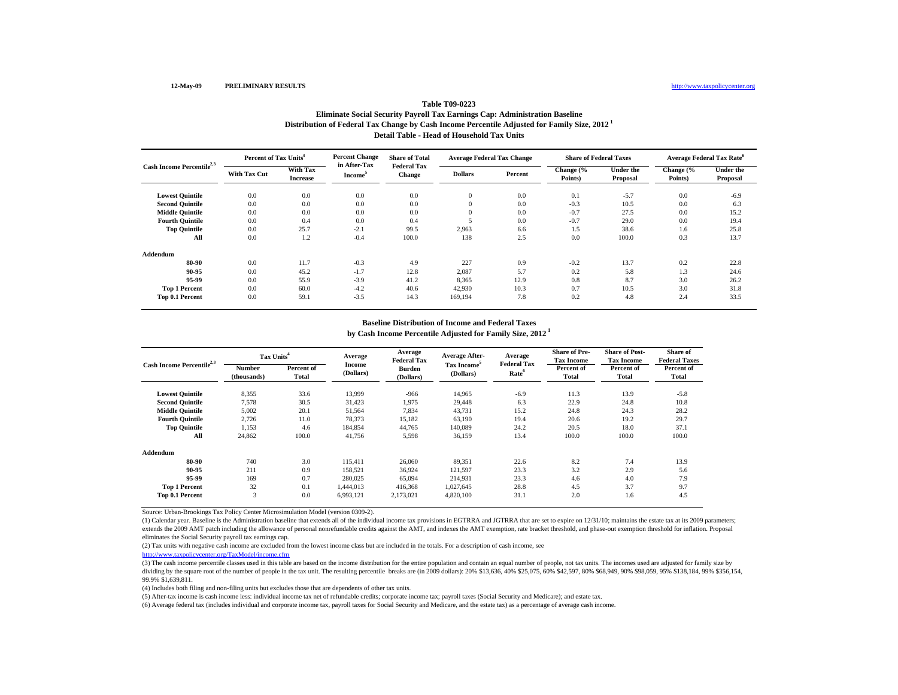## **Table T09-0223**

### **Distribution of Federal Tax Change by Cash Income Percentile Adjusted for Family Size, 2012 1 Detail Table - Head of Household Tax UnitsEliminate Social Security Payroll Tax Earnings Cap: Administration Baseline**

| Cash Income Percentile <sup>2,3</sup> | Percent of Tax Units <sup>4</sup> |                             | <b>Percent Change</b>               | <b>Share of Total</b>        | <b>Average Federal Tax Change</b> |         | <b>Share of Federal Taxes</b> |                       | <b>Average Federal Tax Rate</b> <sup>6</sup> |                              |
|---------------------------------------|-----------------------------------|-----------------------------|-------------------------------------|------------------------------|-----------------------------------|---------|-------------------------------|-----------------------|----------------------------------------------|------------------------------|
|                                       | <b>With Tax Cut</b>               | With Tax<br><b>Increase</b> | in After-Tax<br>Income <sup>3</sup> | <b>Federal Tax</b><br>Change | <b>Dollars</b>                    | Percent | Change (%<br>Points)          | Under the<br>Proposal | Change (%<br>Points)                         | <b>Under the</b><br>Proposal |
| <b>Lowest Quintile</b>                | 0.0                               | 0.0                         | 0.0                                 | 0.0                          | $\mathbf{0}$                      | 0.0     | 0.1                           | $-5.7$                | 0.0                                          | $-6.9$                       |
| <b>Second Quintile</b>                | 0.0                               | 0.0                         | 0.0                                 | 0.0                          | $\Omega$                          | 0.0     | $-0.3$                        | 10.5                  | 0.0                                          | 6.3                          |
| <b>Middle Quintile</b>                | 0.0                               | 0.0                         | 0.0                                 | 0.0                          | $\Omega$                          | 0.0     | $-0.7$                        | 27.5                  | 0.0                                          | 15.2                         |
| <b>Fourth Quintile</b>                | 0.0                               | 0.4                         | 0.0                                 | 0.4                          |                                   | 0.0     | $-0.7$                        | 29.0                  | 0.0                                          | 19.4                         |
| <b>Top Quintile</b>                   | 0.0                               | 25.7                        | $-2.1$                              | 99.5                         | 2,963                             | 6.6     | 1.5                           | 38.6                  | 1.6                                          | 25.8                         |
| All                                   | 0.0                               | 1.2                         | $-0.4$                              | 100.0                        | 138                               | 2.5     | 0.0                           | 100.0                 | 0.3                                          | 13.7                         |
| Addendum                              |                                   |                             |                                     |                              |                                   |         |                               |                       |                                              |                              |
| 80-90                                 | 0.0                               | 11.7                        | $-0.3$                              | 4.9                          | 227                               | 0.9     | $-0.2$                        | 13.7                  | 0.2                                          | 22.8                         |
| 90-95                                 | 0.0                               | 45.2                        | $-1.7$                              | 12.8                         | 2,087                             | 5.7     | 0.2                           | 5.8                   | 1.3                                          | 24.6                         |
| 95-99                                 | 0.0                               | 55.9                        | $-3.9$                              | 41.2                         | 8,365                             | 12.9    | 0.8                           | 8.7                   | 3.0                                          | 26.2                         |
| <b>Top 1 Percent</b>                  | 0.0                               | 60.0                        | $-4.2$                              | 40.6                         | 42,930                            | 10.3    | 0.7                           | 10.5                  | 3.0                                          | 31.8                         |
| Top 0.1 Percent                       | 0.0                               | 59.1                        | $-3.5$                              | 14.3                         | 169,194                           | 7.8     | 0.2                           | 4.8                   | 2.4                                          | 33.5                         |

# **Baseline Distribution of Income and Federal Taxes**

**by Cash Income Percentile Adjusted for Family Size, 2012 1**

| Cash Income Percentile <sup>2,3</sup> | Tax Units <sup>4</sup> |                     | Average             | Average<br><b>Federal Tax</b> | <b>Average After-</b>                | Average<br><b>Federal Tax</b> | <b>Share of Pre-</b><br><b>Tax Income</b> | <b>Share of Post-</b><br><b>Tax Income</b> | Share of<br><b>Federal Taxes</b> |
|---------------------------------------|------------------------|---------------------|---------------------|-------------------------------|--------------------------------------|-------------------------------|-------------------------------------------|--------------------------------------------|----------------------------------|
|                                       | Number<br>(thousands)  | Percent of<br>Total | Income<br>(Dollars) | Burden<br>(Dollars)           | Tax Income <sup>5</sup><br>(Dollars) | Rate <sup>6</sup>             | Percent of<br>Total                       | Percent of<br><b>Total</b>                 | Percent of<br>Total              |
| <b>Lowest Quintile</b>                | 8,355                  | 33.6                | 13,999              | $-966$                        | 14.965                               | $-6.9$                        | 11.3                                      | 13.9                                       | $-5.8$                           |
| <b>Second Quintile</b>                | 7,578                  | 30.5                | 31,423              | 1,975                         | 29,448                               | 6.3                           | 22.9                                      | 24.8                                       | 10.8                             |
| <b>Middle Quintile</b>                | 5,002                  | 20.1                | 51,564              | 7,834                         | 43,731                               | 15.2                          | 24.8                                      | 24.3                                       | 28.2                             |
| <b>Fourth Quintile</b>                | 2,726                  | 11.0                | 78,373              | 15,182                        | 63.190                               | 19.4                          | 20.6                                      | 19.2                                       | 29.7                             |
| <b>Top Quintile</b>                   | 1,153                  | 4.6                 | 184,854             | 44,765                        | 140,089                              | 24.2                          | 20.5                                      | 18.0                                       | 37.1                             |
| All                                   | 24,862                 | 100.0               | 41,756              | 5,598                         | 36,159                               | 13.4                          | 100.0                                     | 100.0                                      | 100.0                            |
| Addendum                              |                        |                     |                     |                               |                                      |                               |                                           |                                            |                                  |
| 80-90                                 | 740                    | 3.0                 | 115.411             | 26,060                        | 89,351                               | 22.6                          | 8.2                                       | 7.4                                        | 13.9                             |
| 90-95                                 | 211                    | 0.9                 | 158,521             | 36,924                        | 121,597                              | 23.3                          | 3.2                                       | 2.9                                        | 5.6                              |
| 95-99                                 | 169                    | 0.7                 | 280,025             | 65,094                        | 214.931                              | 23.3                          | 4.6                                       | 4.0                                        | 7.9                              |
| <b>Top 1 Percent</b>                  | 32                     | 0.1                 | 1,444,013           | 416,368                       | 1,027,645                            | 28.8                          | 4.5                                       | 3.7                                        | 9.7                              |
| Top 0.1 Percent                       | $\overline{3}$         | 0.0                 | 6,993,121           | 2,173,021                     | 4,820,100                            | 31.1                          | 2.0                                       | 1.6                                        | 4.5                              |

Source: Urban-Brookings Tax Policy Center Microsimulation Model (version 0309-2).

(1) Calendar year. Baseline is the Administration baseline that extends all of the individual income tax provisions in EGTRRA and JGTRRA that are set to expire on 12/31/10; maintains the estate tax at its 2009 parameters; extends the 2009 AMT patch including the allowance of personal nonrefundable credits against the AMT, and indexes the AMT exemption, rate bracket threshold, and phase-out exemption threshold for inflation. Proposal eliminates the Social Security payroll tax earnings cap.

(2) Tax units with negative cash income are excluded from the lowest income class but are included in the totals. For a description of cash income, see

http://www.taxpolicycenter.org/TaxModel/income.cfm

(3) The cash income percentile classes used in this table are based on the income distribution for the entire population and contain an equal number of people, not tax units. The incomes used are adjusted for family size b dividing by the square root of the number of people in the tax unit. The resulting percentile breaks are (in 2009 dollars): 20% \$13,636, 40% \$25,075, 60% \$42,597, 80% \$68,949, 90% \$98,059, 95% \$138,184, 99% \$356,154, 99.9% \$1,639,811.

(4) Includes both filing and non-filing units but excludes those that are dependents of other tax units.

(5) After-tax income is cash income less: individual income tax net of refundable credits; corporate income tax; payroll taxes (Social Security and Medicare); and estate tax.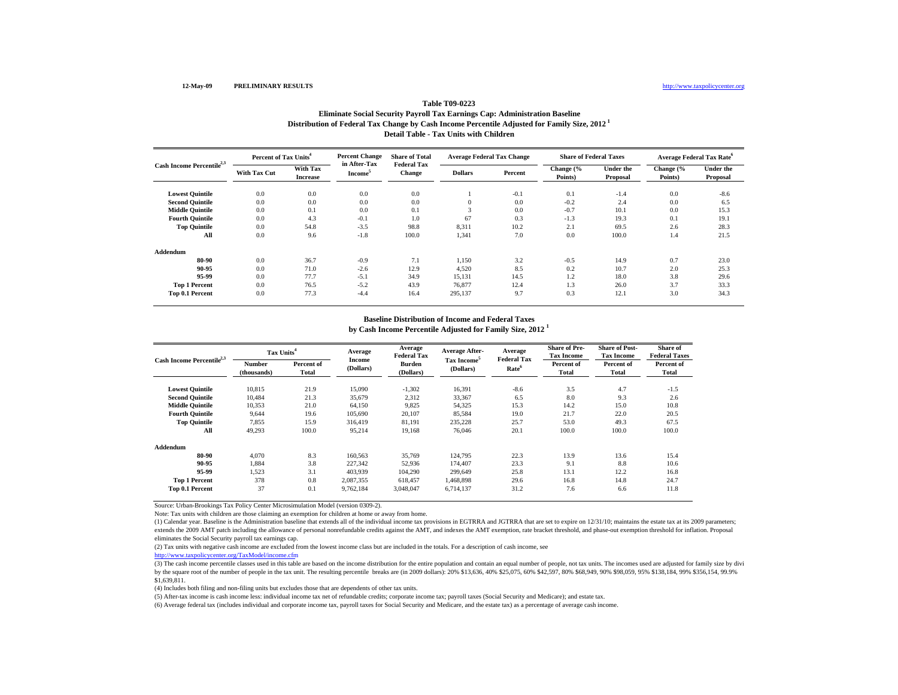## **Distribution of Federal Tax Change by Cash Income Percentile Adjusted for Family Size, 2012 1 Detail Table - Tax Units with ChildrenTable T09-0223Eliminate Social Security Payroll Tax Earnings Cap: Administration Baseline**

| Cash Income Percentile <sup>2,3</sup> |                     | Percent of Tax Units <sup>4</sup> |                                     | <b>Share of Total</b>               | <b>Average Federal Tax Change</b> |         | <b>Share of Federal Taxes</b> |                              | <b>Average Federal Tax Rate<sup>6</sup></b> |                              |
|---------------------------------------|---------------------|-----------------------------------|-------------------------------------|-------------------------------------|-----------------------------------|---------|-------------------------------|------------------------------|---------------------------------------------|------------------------------|
|                                       | <b>With Tax Cut</b> | With Tax<br><b>Increase</b>       | in After-Tax<br>Income <sup>3</sup> | <b>Federal Tax</b><br><b>Change</b> | <b>Dollars</b>                    | Percent | Change (%<br>Points)          | <b>Under the</b><br>Proposal | Change (%<br>Points)                        | <b>Under the</b><br>Proposal |
| <b>Lowest Quintile</b>                | 0.0                 | 0.0                               | 0.0                                 | 0.0                                 |                                   | $-0.1$  | 0.1                           | $-1.4$                       | 0.0                                         | $-8.6$                       |
| <b>Second Quintile</b>                | 0.0                 | 0.0                               | 0.0                                 | 0.0                                 | $\Omega$                          | 0.0     | $-0.2$                        | 2.4                          | 0.0                                         | 6.5                          |
| <b>Middle Quintile</b>                | 0.0                 | 0.1                               | 0.0                                 | 0.1                                 | $\sim$                            | 0.0     | $-0.7$                        | 10.1                         | 0.0                                         | 15.3                         |
| <b>Fourth Quintile</b>                | 0.0                 | 4.3                               | $-0.1$                              | 1.0                                 | 67                                | 0.3     | $-1.3$                        | 19.3                         | 0.1                                         | 19.1                         |
| <b>Top Quintile</b>                   | 0.0                 | 54.8                              | $-3.5$                              | 98.8                                | 8,311                             | 10.2    | 2.1                           | 69.5                         | 2.6                                         | 28.3                         |
| All                                   | 0.0                 | 9.6                               | $-1.8$                              | 100.0                               | 1,341                             | 7.0     | 0.0                           | 100.0                        | 1.4                                         | 21.5                         |
| Addendum                              |                     |                                   |                                     |                                     |                                   |         |                               |                              |                                             |                              |
| 80-90                                 | 0.0                 | 36.7                              | $-0.9$                              | 7.1                                 | 1,150                             | 3.2     | $-0.5$                        | 14.9                         | 0.7                                         | 23.0                         |
| 90-95                                 | 0.0                 | 71.0                              | $-2.6$                              | 12.9                                | 4,520                             | 8.5     | 0.2                           | 10.7                         | 2.0                                         | 25.3                         |
| 95-99                                 | 0.0                 | 77.7                              | $-5.1$                              | 34.9                                | 15,131                            | 14.5    | 1.2                           | 18.0                         | 3.8                                         | 29.6                         |
| <b>Top 1 Percent</b>                  | 0.0                 | 76.5                              | $-5.2$                              | 43.9                                | 76.877                            | 12.4    | 1.3                           | 26.0                         | 3.7                                         | 33.3                         |
| Top 0.1 Percent                       | 0.0                 | 77.3                              | $-4.4$                              | 16.4                                | 295,137                           | 9.7     | 0.3                           | 12.1                         | 3.0                                         | 34.3                         |

# **Baseline Distribution of Income and Federal Taxes**

**by Cash Income Percentile Adjusted for Family Size, 2012 <sup>1</sup>**

| Cash Income Percentile <sup>2,3</sup> | Tax Units <sup>4</sup> |                     | Average                    | Average<br><b>Federal Tax</b> | <b>Average After-</b>                | Average<br><b>Federal Tax</b> | <b>Share of Pre-</b><br><b>Tax Income</b> | <b>Share of Post-</b><br><b>Tax Income</b> | Share of<br><b>Federal Taxes</b> |
|---------------------------------------|------------------------|---------------------|----------------------------|-------------------------------|--------------------------------------|-------------------------------|-------------------------------------------|--------------------------------------------|----------------------------------|
|                                       | Number<br>(thousands)  | Percent of<br>Total | <b>Income</b><br>(Dollars) | Burden<br>(Dollars)           | Tax Income <sup>5</sup><br>(Dollars) | Rate <sup>6</sup>             | Percent of<br><b>Total</b>                | Percent of<br>Total                        | Percent of<br>Total              |
| <b>Lowest Quintile</b>                | 10,815                 | 21.9                | 15,090                     | $-1,302$                      | 16,391                               | $-8.6$                        | 3.5                                       | 4.7                                        | $-1.5$                           |
| <b>Second Quintile</b>                | 10,484                 | 21.3                | 35,679                     | 2,312                         | 33,367                               | 6.5                           | 8.0                                       | 9.3                                        | 2.6                              |
| <b>Middle Ouintile</b>                | 10,353                 | 21.0                | 64.150                     | 9.825                         | 54,325                               | 15.3                          | 14.2                                      | 15.0                                       | 10.8                             |
| <b>Fourth Ouintile</b>                | 9.644                  | 19.6                | 105,690                    | 20,107                        | 85,584                               | 19.0                          | 21.7                                      | 22.0                                       | 20.5                             |
| <b>Top Quintile</b>                   | 7,855                  | 15.9                | 316.419                    | 81,191                        | 235,228                              | 25.7                          | 53.0                                      | 49.3                                       | 67.5                             |
| All                                   | 49,293                 | 100.0               | 95,214                     | 19,168                        | 76,046                               | 20.1                          | 100.0                                     | 100.0                                      | 100.0                            |
| Addendum                              |                        |                     |                            |                               |                                      |                               |                                           |                                            |                                  |
| 80-90                                 | 4.070                  | 8.3                 | 160,563                    | 35,769                        | 124,795                              | 22.3                          | 13.9                                      | 13.6                                       | 15.4                             |
| 90-95                                 | 1,884                  | 3.8                 | 227,342                    | 52,936                        | 174,407                              | 23.3                          | 9.1                                       | 8.8                                        | 10.6                             |
| 95-99                                 | 1.523                  | 3.1                 | 403,939                    | 104,290                       | 299.649                              | 25.8                          | 13.1                                      | 12.2                                       | 16.8                             |
| <b>Top 1 Percent</b>                  | 378                    | 0.8                 | 2,087,355                  | 618,457                       | 1,468,898                            | 29.6                          | 16.8                                      | 14.8                                       | 24.7                             |
| Top 0.1 Percent                       | 37                     | 0.1                 | 9,762,184                  | 3,048,047                     | 6.714.137                            | 31.2                          | 7.6                                       | 6.6                                        | 11.8                             |

Source: Urban-Brookings Tax Policy Center Microsimulation Model (version 0309-2).

Note: Tax units with children are those claiming an exemption for children at home or away from home.

(1) Calendar year. Baseline is the Administration baseline that extends all of the individual income tax provisions in EGTRRA and JGTRRA that are set to expire on 12/31/10; maintains the estate tax at its 2009 parameters; extends the 2009 AMT patch including the allowance of personal nonrefundable credits against the AMT, and indexes the AMT exemption, rate bracket threshold, and phase-out exemption threshold for inflation. Proposal eliminates the Social Security payroll tax earnings cap.

(2) Tax units with negative cash income are excluded from the lowest income class but are included in the totals. For a description of cash income, see

http://www.taxpolicycenter.org/TaxModel/income.cfm

(3) The cash income percentile classes used in this table are based on the income distribution for the entire population and contain an equal number of people, not tax units. The incomes used are adjusted for family size b by the square root of the number of people in the tax unit. The resulting percentile breaks are (in 2009 dollars): 20% \$13,636, 40% \$25,075, 60% \$42,597, 80% \$68,949, 90% \$98,059, 95% \$138,184, 99% \$356,154, 99.9% \$1,639,811.

(4) Includes both filing and non-filing units but excludes those that are dependents of other tax units.

(5) After-tax income is cash income less: individual income tax net of refundable credits; corporate income tax; payroll taxes (Social Security and Medicare); and estate tax.